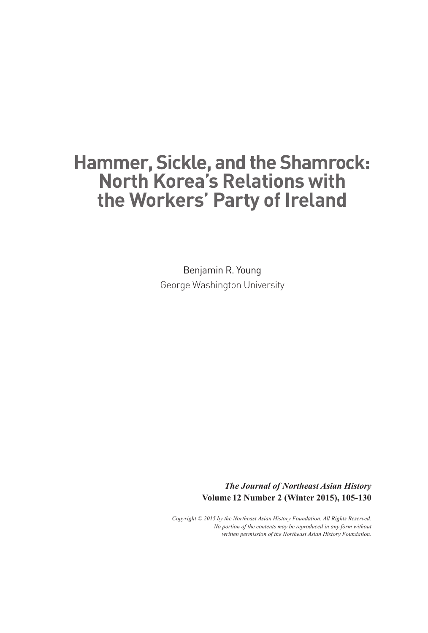# **Hammer, Sickle, and the Shamrock: North Korea's Relations with the Workers' Party of Ireland**

Benjamin R. Young George Washington University

> *The Journal of Northeast Asian History* **Volume 12 Number 2 (Winter 2015), 105-130**

*Copyright © 2015 by the Northeast Asian History Foundation. All Rights Reserved. No portion of the contents may be reproduced in any form without written permission of the Northeast Asian History Foundation.*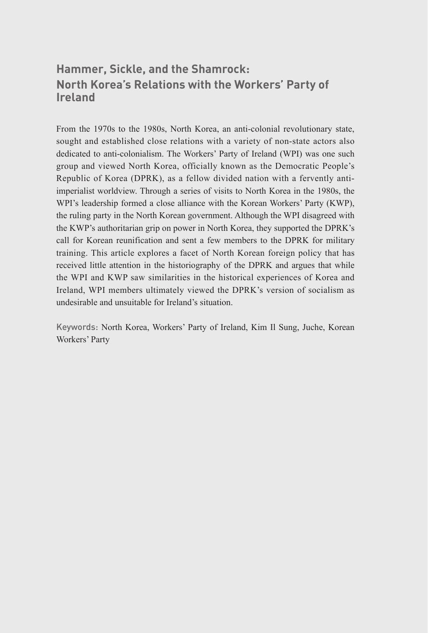### **Hammer, Sickle, and the Shamrock: North Korea's Relations with the Workers' Party of Ireland**

From the 1970s to the 1980s, North Korea, an anti-colonial revolutionary state, sought and established close relations with a variety of non-state actors also dedicated to anti-colonialism. The Workers' Party of Ireland (WPI) was one such group and viewed North Korea, officially known as the Democratic People's Republic of Korea (DPRK), as a fellow divided nation with a fervently antiimperialist worldview. Through a series of visits to North Korea in the 1980s, the WPI's leadership formed a close alliance with the Korean Workers' Party (KWP), the ruling party in the North Korean government. Although the WPI disagreed with the KWP's authoritarian grip on power in North Korea, they supported the DPRK's call for Korean reunification and sent a few members to the DPRK for military training. This article explores a facet of North Korean foreign policy that has received little attention in the historiography of the DPRK and argues that while the WPI and KWP saw similarities in the historical experiences of Korea and Ireland, WPI members ultimately viewed the DPRK's version of socialism as undesirable and unsuitable for Ireland's situation.

Keywords: North Korea, Workers' Party of Ireland, Kim Il Sung, Juche, Korean Workers' Party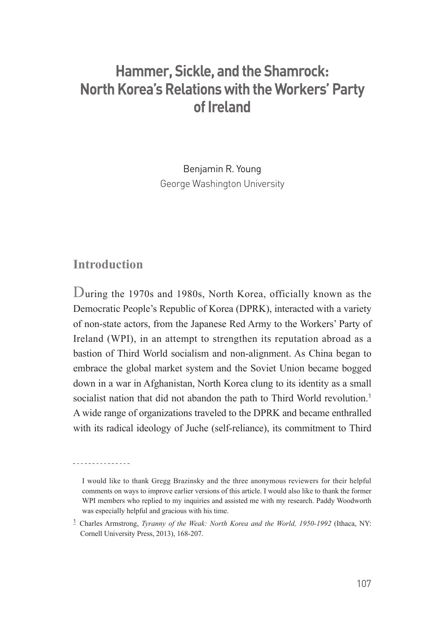## **Hammer, Sickle, and the Shamrock: North Korea's Relations with the Workers' Party of Ireland**

Benjamin R. Young George Washington University

#### **Introduction**

<u>--------------</u>

During the 1970s and 1980s, North Korea, officially known as the Democratic People's Republic of Korea (DPRK), interacted with a variety of non-state actors, from the Japanese Red Army to the Workers' Party of Ireland (WPI), in an attempt to strengthen its reputation abroad as a bastion of Third World socialism and non-alignment. As China began to embrace the global market system and the Soviet Union became bogged down in a war in Afghanistan, North Korea clung to its identity as a small socialist nation that did not abandon the path to Third World revolution.<sup>1</sup> A wide range of organizations traveled to the DPRK and became enthralled with its radical ideology of Juche (self-reliance), its commitment to Third

I would like to thank Gregg Brazinsky and the three anonymous reviewers for their helpful comments on ways to improve earlier versions of this article. I would also like to thank the former WPI members who replied to my inquiries and assisted me with my research. Paddy Woodworth was especially helpful and gracious with his time.

**<sup>1</sup>** Charles Armstrong, *Tyranny of the Weak: North Korea and the World, 1950-1992* (Ithaca, NY: Cornell University Press, 2013), 168-207.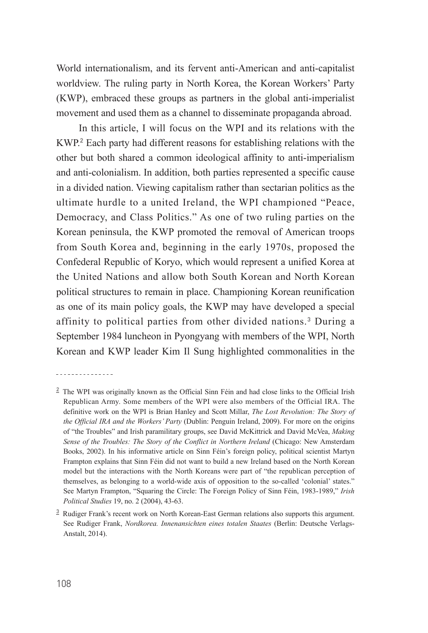World internationalism, and its fervent anti-American and anti-capitalist worldview. The ruling party in North Korea, the Korean Workers' Party (KWP), embraced these groups as partners in the global anti-imperialist movement and used them as a channel to disseminate propaganda abroad.

In this article, I will focus on the WPI and its relations with the KWP.**<sup>2</sup>** Each party had different reasons for establishing relations with the other but both shared a common ideological affinity to anti-imperialism and anti-colonialism. In addition, both parties represented a specific cause in a divided nation. Viewing capitalism rather than sectarian politics as the ultimate hurdle to a united Ireland, the WPI championed "Peace, Democracy, and Class Politics." As one of two ruling parties on the Korean peninsula, the KWP promoted the removal of American troops from South Korea and, beginning in the early 1970s, proposed the Confederal Republic of Koryo, which would represent a unified Korea at the United Nations and allow both South Korean and North Korean political structures to remain in place. Championing Korean reunification as one of its main policy goals, the KWP may have developed a special affinity to political parties from other divided nations.**<sup>3</sup>** During a September 1984 luncheon in Pyongyang with members of the WPI, North Korean and KWP leader Kim Il Sung highlighted commonalities in the

<sup>. . . . . . . . . . . . . . .</sup> 

**<sup>2</sup>** The WPI was originally known as the Official Sinn Féin and had close links to the Official Irish Republican Army. Some members of the WPI were also members of the Official IRA. The definitive work on the WPI is Brian Hanley and Scott Millar, *The Lost Revolution: The Story of the Official IRA and the Workers' Party* (Dublin: Penguin Ireland, 2009). For more on the origins of "the Troubles" and Irish paramilitary groups, see David McKittrick and David McVea, *Making Sense of the Troubles: The Story of the Conflict in Northern Ireland* (Chicago: New Amsterdam Books, 2002). In his informative article on Sinn Féin's foreign policy, political scientist Martyn Frampton explains that Sinn Féin did not want to build a new Ireland based on the North Korean model but the interactions with the North Koreans were part of "the republican perception of themselves, as belonging to a world-wide axis of opposition to the so-called 'colonial' states." See Martyn Frampton, "Squaring the Circle: The Foreign Policy of Sinn Féin, 1983-1989," *Irish Political Studies* 19, no. 2 (2004), 43-63.

**<sup>3</sup>** Rudiger Frank's recent work on North Korean-East German relations also supports this argument. See Rudiger Frank, *Nordkorea. Innenansichten eines totalen Staates* (Berlin: Deutsche Verlags-Anstalt, 2014).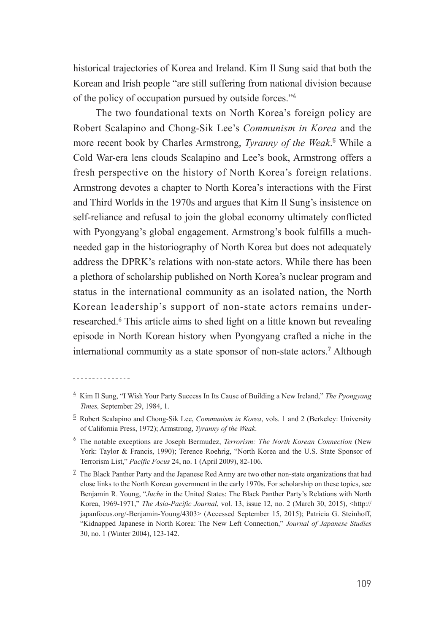historical trajectories of Korea and Ireland. Kim Il Sung said that both the Korean and Irish people "are still suffering from national division because of the policy of occupation pursued by outside forces."**<sup>4</sup>**

The two foundational texts on North Korea's foreign policy are Robert Scalapino and Chong-Sik Lee's *Communism in Korea* and the more recent book by Charles Armstrong, *Tyranny of the Weak*. **<sup>5</sup>** While a Cold War-era lens clouds Scalapino and Lee's book, Armstrong offers a fresh perspective on the history of North Korea's foreign relations. Armstrong devotes a chapter to North Korea's interactions with the First and Third Worlds in the 1970s and argues that Kim Il Sung's insistence on self-reliance and refusal to join the global economy ultimately conflicted with Pyongyang's global engagement. Armstrong's book fulfills a muchneeded gap in the historiography of North Korea but does not adequately address the DPRK's relations with non-state actors. While there has been a plethora of scholarship published on North Korea's nuclear program and status in the international community as an isolated nation, the North Korean leadership's support of non-state actors remains underresearched.**<sup>6</sup>** This article aims to shed light on a little known but revealing episode in North Korean history when Pyongyang crafted a niche in the international community as a state sponsor of non-state actors.**<sup>7</sup>** Although

**<sup>4</sup>** Kim Il Sung, "I Wish Your Party Success In Its Cause of Building a New Ireland," *The Pyongyang Times,* September 29, 1984, 1.

**<sup>5</sup>** Robert Scalapino and Chong-Sik Lee, *Communism in Korea*, vols. 1 and 2 (Berkeley: University of California Press, 1972); Armstrong, *Tyranny of the Weak*.

**<sup>6</sup>** The notable exceptions are Joseph Bermudez, *Terrorism: The North Korean Connection* (New York: Taylor & Francis, 1990); Terence Roehrig, "North Korea and the U.S. State Sponsor of Terrorism List," *Pacific Focus* 24, no. 1 (April 2009), 82-106.

**<sup>7</sup>** The Black Panther Party and the Japanese Red Army are two other non-state organizations that had close links to the North Korean government in the early 1970s. For scholarship on these topics, see Benjamin R. Young, "*Juche* in the United States: The Black Panther Party's Relations with North Korea, 1969-1971," *The Asia-Pacific Journal*, vol. 13, issue 12, no. 2 (March 30, 2015), <http:// japanfocus.org/-Benjamin-Young/4303> (Accessed September 15, 2015); Patricia G. Steinhoff, "Kidnapped Japanese in North Korea: The New Left Connection," *Journal of Japanese Studies* 30, no. 1 (Winter 2004), 123-142.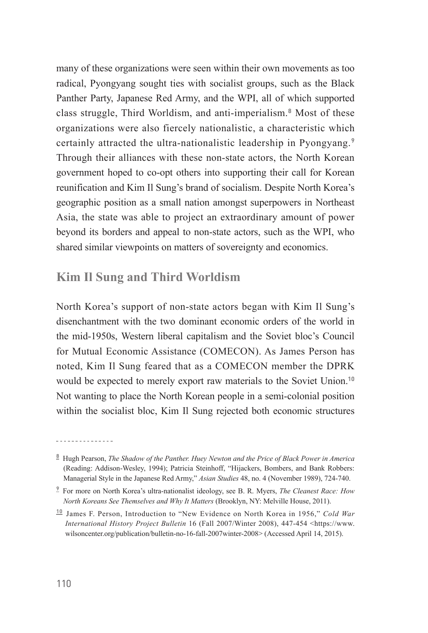many of these organizations were seen within their own movements as too radical, Pyongyang sought ties with socialist groups, such as the Black Panther Party, Japanese Red Army, and the WPI, all of which supported class struggle, Third Worldism, and anti-imperialism.**<sup>8</sup>** Most of these organizations were also fiercely nationalistic, a characteristic which certainly attracted the ultra-nationalistic leadership in Pyongyang.**<sup>9</sup>** Through their alliances with these non-state actors, the North Korean government hoped to co-opt others into supporting their call for Korean reunification and Kim Il Sung's brand of socialism. Despite North Korea's geographic position as a small nation amongst superpowers in Northeast Asia, the state was able to project an extraordinary amount of power beyond its borders and appeal to non-state actors, such as the WPI, who shared similar viewpoints on matters of sovereignty and economics.

#### **Kim Il Sung and Third Worldism**

North Korea's support of non-state actors began with Kim Il Sung's disenchantment with the two dominant economic orders of the world in the mid-1950s, Western liberal capitalism and the Soviet bloc's Council for Mutual Economic Assistance (COMECON). As James Person has noted, Kim Il Sung feared that as a COMECON member the DPRK would be expected to merely export raw materials to the Soviet Union.**<sup>10</sup>** Not wanting to place the North Korean people in a semi-colonial position within the socialist bloc, Kim Il Sung rejected both economic structures

**<sup>8</sup>** Hugh Pearson, *The Shadow of the Panther. Huey Newton and the Price of Black Power in America* (Reading: Addison-Wesley, 1994); Patricia Steinhoff, "Hijackers, Bombers, and Bank Robbers: Managerial Style in the Japanese Red Army," *Asian Studies* 48, no. 4 (November 1989), 724-740.

**<sup>9</sup>** For more on North Korea's ultra-nationalist ideology, see B. R. Myers, *The Cleanest Race: How North Koreans See Themselves and Why It Matters* (Brooklyn, NY: Melville House, 2011).

**<sup>10</sup>** James F. Person, Introduction to "New Evidence on North Korea in 1956," *Cold War International History Project Bulletin* 16 (Fall 2007/Winter 2008), 447-454 <https://www. wilsoncenter.org/publication/bulletin-no-16-fall-2007winter-2008> (Accessed April 14, 2015).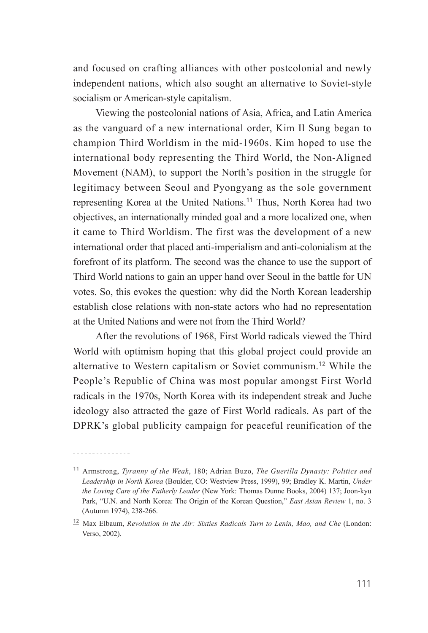and focused on crafting alliances with other postcolonial and newly independent nations, which also sought an alternative to Soviet-style socialism or American-style capitalism.

Viewing the postcolonial nations of Asia, Africa, and Latin America as the vanguard of a new international order, Kim Il Sung began to champion Third Worldism in the mid-1960s. Kim hoped to use the international body representing the Third World, the Non-Aligned Movement (NAM), to support the North's position in the struggle for legitimacy between Seoul and Pyongyang as the sole government representing Korea at the United Nations.**<sup>11</sup>** Thus, North Korea had two objectives, an internationally minded goal and a more localized one, when it came to Third Worldism. The first was the development of a new international order that placed anti-imperialism and anti-colonialism at the forefront of its platform. The second was the chance to use the support of Third World nations to gain an upper hand over Seoul in the battle for UN votes. So, this evokes the question: why did the North Korean leadership establish close relations with non-state actors who had no representation at the United Nations and were not from the Third World?

After the revolutions of 1968, First World radicals viewed the Third World with optimism hoping that this global project could provide an alternative to Western capitalism or Soviet communism.**<sup>12</sup>** While the People's Republic of China was most popular amongst First World radicals in the 1970s, North Korea with its independent streak and Juche ideology also attracted the gaze of First World radicals. As part of the DPRK's global publicity campaign for peaceful reunification of the

**<sup>11</sup>** Armstrong, *Tyranny of the Weak*, 180; Adrian Buzo, *The Guerilla Dynasty: Politics and Leadership in North Korea* (Boulder, CO: Westview Press, 1999), 99; Bradley K. Martin, *Under the Loving Care of the Fatherly Leader* (New York: Thomas Dunne Books, 2004) 137; Joon-kyu Park, "U.N. and North Korea: The Origin of the Korean Question," *East Asian Review* 1, no. 3 (Autumn 1974), 238-266.

**<sup>12</sup>** Max Elbaum, *Revolution in the Air: Sixties Radicals Turn to Lenin, Mao, and Che* (London: Verso, 2002).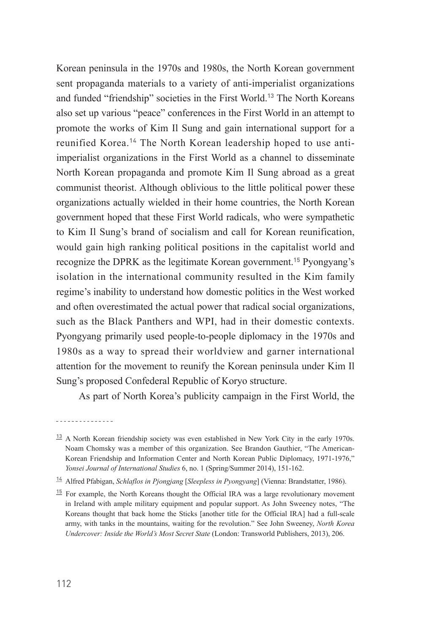Korean peninsula in the 1970s and 1980s, the North Korean government sent propaganda materials to a variety of anti-imperialist organizations and funded "friendship" societies in the First World.**<sup>13</sup>** The North Koreans also set up various "peace" conferences in the First World in an attempt to promote the works of Kim Il Sung and gain international support for a reunified Korea.**14** The North Korean leadership hoped to use antiimperialist organizations in the First World as a channel to disseminate North Korean propaganda and promote Kim Il Sung abroad as a great communist theorist. Although oblivious to the little political power these organizations actually wielded in their home countries, the North Korean government hoped that these First World radicals, who were sympathetic to Kim Il Sung's brand of socialism and call for Korean reunification, would gain high ranking political positions in the capitalist world and recognize the DPRK as the legitimate Korean government.**<sup>15</sup>** Pyongyang's isolation in the international community resulted in the Kim family regime's inability to understand how domestic politics in the West worked and often overestimated the actual power that radical social organizations, such as the Black Panthers and WPI, had in their domestic contexts. Pyongyang primarily used people-to-people diplomacy in the 1970s and 1980s as a way to spread their worldview and garner international attention for the movement to reunify the Korean peninsula under Kim Il Sung's proposed Confederal Republic of Koryo structure.

As part of North Korea's publicity campaign in the First World, the

**<sup>13</sup>** A North Korean friendship society was even established in New York City in the early 1970s. Noam Chomsky was a member of this organization. See Brandon Gauthier, "The American-Korean Friendship and Information Center and North Korean Public Diplomacy, 1971-1976," *Yonsei Journal of International Studies* 6, no. 1 (Spring/Summer 2014), 151-162.

**<sup>15</sup>** For example, the North Koreans thought the Official IRA was a large revolutionary movement in Ireland with ample military equipment and popular support. As John Sweeney notes, "The Koreans thought that back home the Sticks [another title for the Official IRA] had a full-scale army, with tanks in the mountains, waiting for the revolution." See John Sweeney, *North Korea Undercover: Inside the World's Most Secret State* (London: Transworld Publishers, 2013), 206.

<u>---------------</u>

**<sup>14</sup>** Alfred Pfabigan, *Schlaflos in Pjongjang* [*Sleepless in Pyongyang*] (Vienna: Brandstatter, 1986).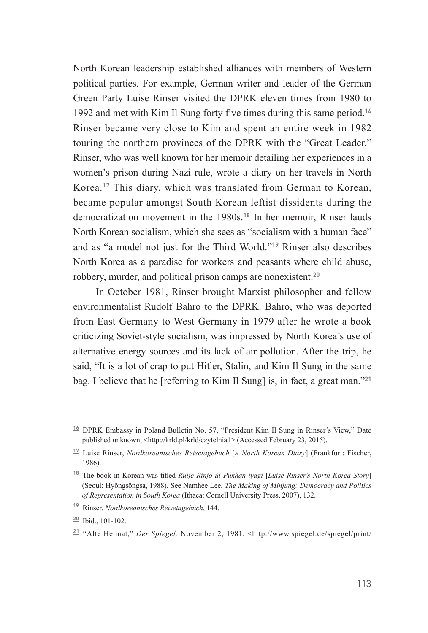North Korean leadership established alliances with members of Western political parties. For example, German writer and leader of the German Green Party Luise Rinser visited the DPRK eleven times from 1980 to 1992 and met with Kim Il Sung forty five times during this same period.**<sup>16</sup>** Rinser became very close to Kim and spent an entire week in 1982 touring the northern provinces of the DPRK with the "Great Leader." Rinser, who was well known for her memoir detailing her experiences in a women's prison during Nazi rule, wrote a diary on her travels in North Korea.**<sup>17</sup>** This diary, which was translated from German to Korean, became popular amongst South Korean leftist dissidents during the democratization movement in the 1980s.**<sup>18</sup>** In her memoir, Rinser lauds North Korean socialism, which she sees as "socialism with a human face" and as "a model not just for the Third World."**<sup>19</sup>** Rinser also describes North Korea as a paradise for workers and peasants where child abuse, robbery, murder, and political prison camps are nonexistent.**<sup>20</sup>**

In October 1981, Rinser brought Marxist philosopher and fellow environmentalist Rudolf Bahro to the DPRK. Bahro, who was deported from East Germany to West Germany in 1979 after he wrote a book criticizing Soviet-style socialism, was impressed by North Korea's use of alternative energy sources and its lack of air pollution. After the trip, he said, "It is a lot of crap to put Hitler, Stalin, and Kim Il Sung in the same bag. I believe that he [referring to Kim Il Sung] is, in fact, a great man."**<sup>21</sup>**

**<sup>16</sup>** DPRK Embassy in Poland Bulletin No. 57, "President Kim Il Sung in Rinser's View," Date published unknown, <http://krld.pl/krld/czytelnia1> (Accessed February 23, 2015).

**<sup>17</sup>** Luise Rinser, *Nordkoreanisches Reisetagebuch* [*A North Korean Diary*] (Frankfurt: Fischer, 1986).

**<sup>18</sup>** The book in Korean was titled *Ruije Rinjŏ ŭi Pukhan iyagi* [*Luise Rinser's North Korea Story*] (Seoul: Hyŏngsŏngsa, 1988). See Namhee Lee, *The Making of Minjung: Democracy and Politics of Representation in South Korea* (Ithaca: Cornell University Press, 2007), 132.

**<sup>19</sup>** Rinser, *Nordkoreanisches Reisetagebuch*, 144.

**<sup>20</sup>** Ibid., 101-102.

**<sup>21</sup>** "Alte Heimat," *Der Spiegel,* November 2, 1981, <http://www.spiegel.de/spiegel/print/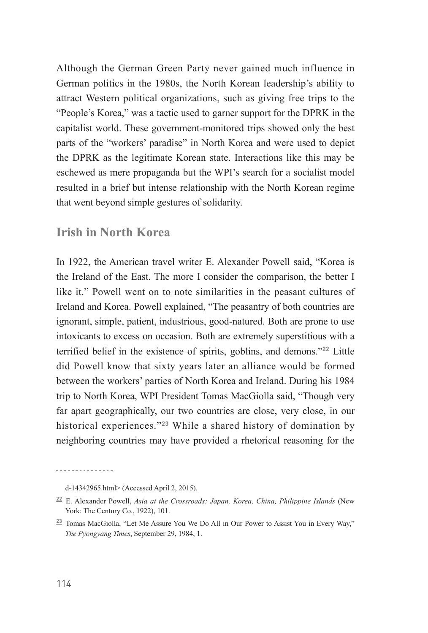Although the German Green Party never gained much influence in German politics in the 1980s, the North Korean leadership's ability to attract Western political organizations, such as giving free trips to the "People's Korea," was a tactic used to garner support for the DPRK in the capitalist world. These government-monitored trips showed only the best parts of the "workers' paradise" in North Korea and were used to depict the DPRK as the legitimate Korean state. Interactions like this may be eschewed as mere propaganda but the WPI's search for a socialist model resulted in a brief but intense relationship with the North Korean regime that went beyond simple gestures of solidarity.

#### **Irish in North Korea**

In 1922, the American travel writer E. Alexander Powell said, "Korea is the Ireland of the East. The more I consider the comparison, the better I like it." Powell went on to note similarities in the peasant cultures of Ireland and Korea. Powell explained, "The peasantry of both countries are ignorant, simple, patient, industrious, good-natured. Both are prone to use intoxicants to excess on occasion. Both are extremely superstitious with a terrified belief in the existence of spirits, goblins, and demons."**<sup>22</sup>** Little did Powell know that sixty years later an alliance would be formed between the workers' parties of North Korea and Ireland. During his 1984 trip to North Korea, WPI President Tomas MacGiolla said, "Though very far apart geographically, our two countries are close, very close, in our historical experiences."**<sup>23</sup>** While a shared history of domination by neighboring countries may have provided a rhetorical reasoning for the

d-14342965.html> (Accessed April 2, 2015).

**<sup>22</sup>** E. Alexander Powell, *Asia at the Crossroads: Japan, Korea, China, Philippine Islands* (New York: The Century Co., 1922), 101.

**<sup>23</sup>** Tomas MacGiolla, "Let Me Assure You We Do All in Our Power to Assist You in Every Way," *The Pyongyang Times*, September 29, 1984, 1.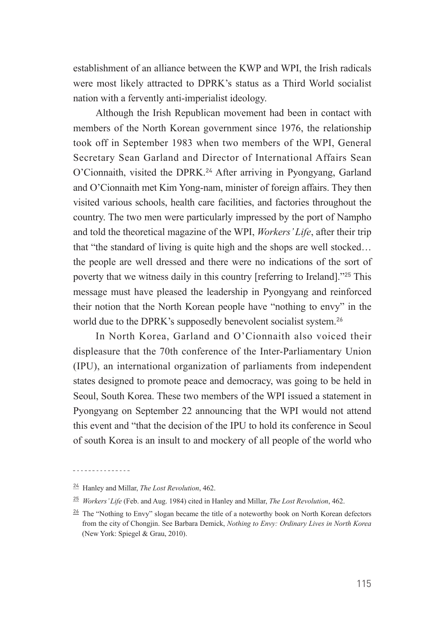establishment of an alliance between the KWP and WPI, the Irish radicals were most likely attracted to DPRK's status as a Third World socialist nation with a fervently anti-imperialist ideology.

Although the Irish Republican movement had been in contact with members of the North Korean government since 1976, the relationship took off in September 1983 when two members of the WPI, General Secretary Sean Garland and Director of International Affairs Sean O'Cionnaith, visited the DPRK.**<sup>24</sup>** After arriving in Pyongyang, Garland and O'Cionnaith met Kim Yong-nam, minister of foreign affairs. They then visited various schools, health care facilities, and factories throughout the country. The two men were particularly impressed by the port of Nampho and told the theoretical magazine of the WPI, *Workers' Life*, after their trip that "the standard of living is quite high and the shops are well stocked… the people are well dressed and there were no indications of the sort of poverty that we witness daily in this country [referring to Ireland]."**<sup>25</sup>** This message must have pleased the leadership in Pyongyang and reinforced their notion that the North Korean people have "nothing to envy" in the world due to the DPRK's supposedly benevolent socialist system.**<sup>26</sup>**

In North Korea, Garland and O'Cionnaith also voiced their displeasure that the 70th conference of the Inter-Parliamentary Union (IPU), an international organization of parliaments from independent states designed to promote peace and democracy, was going to be held in Seoul, South Korea. These two members of the WPI issued a statement in Pyongyang on September 22 announcing that the WPI would not attend this event and "that the decision of the IPU to hold its conference in Seoul of south Korea is an insult to and mockery of all people of the world who

<u>. . . . . . . . . . . . . . .</u>

**<sup>24</sup>** Hanley and Millar, *The Lost Revolution*, 462.

**<sup>25</sup>** *Workers' Life* (Feb. and Aug. 1984) cited in Hanley and Millar, *The Lost Revolution*, 462.

**<sup>26</sup>** The "Nothing to Envy" slogan became the title of a noteworthy book on North Korean defectors from the city of Chongjin. See Barbara Demick, *Nothing to Envy: Ordinary Lives in North Korea*  (New York: Spiegel & Grau, 2010).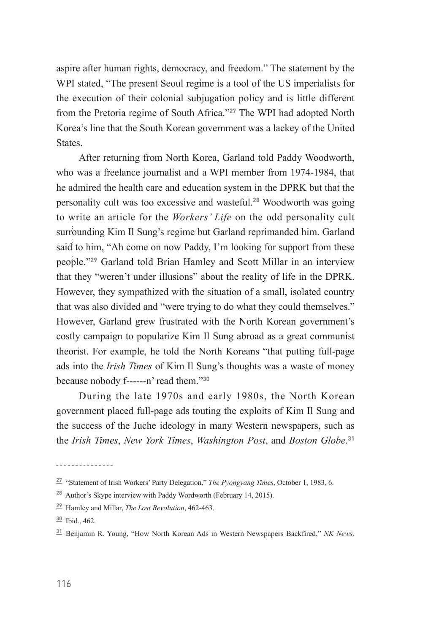aspire after human rights, democracy, and freedom." The statement by the WPI stated, "The present Seoul regime is a tool of the US imperialists for the execution of their colonial subjugation policy and is little different from the Pretoria regime of South Africa."**<sup>27</sup>** The WPI had adopted North Korea's line that the South Korean government was a lackey of the United **States**.

After returning from North Korea, Garland told Paddy Woodworth, who was a freelance journalist and a WPI member from 1974-1984, that he admired the health care and education system in the DPRK but that the personality cult was too excessive and wasteful.**<sup>28</sup>** Woodworth was going to write an article for the *Workers' Life* on the odd personality cult surrounding Kim Il Sung's regime but Garland reprimanded him. Garland said to him, "Ah come on now Paddy, I'm looking for support from these people."**<sup>29</sup>** Garland told Brian Hamley and Scott Millar in an interview that they "weren't under illusions" about the reality of life in the DPRK. However, they sympathized with the situation of a small, isolated country that was also divided and "were trying to do what they could themselves." However, Garland grew frustrated with the North Korean government's costly campaign to popularize Kim Il Sung abroad as a great communist theorist. For example, he told the North Koreans "that putting full-page ads into the *Irish Times* of Kim Il Sung's thoughts was a waste of money because nobody f------n' read them."**<sup>30</sup>**

During the late 1970s and early 1980s, the North Korean government placed full-page ads touting the exploits of Kim Il Sung and the success of the Juche ideology in many Western newspapers, such as the *Irish Times*, *New York Times*, *Washington Post*, and *Boston Globe*. **31**

**<sup>27</sup>** "Statement of Irish Workers' Party Delegation," *The Pyongyang Times*, October 1, 1983, 6.

**<sup>28</sup>** Author's Skype interview with Paddy Wordworth (February 14, 2015).

**<sup>29</sup>** Hamley and Millar, *The Lost Revolution*, 462-463.

**<sup>30</sup>** Ibid., 462.

**<sup>31</sup>** Benjamin R. Young, "How North Korean Ads in Western Newspapers Backfired," *NK News,*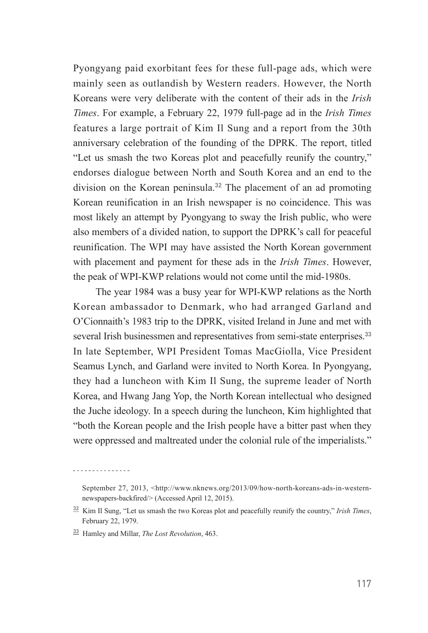Pyongyang paid exorbitant fees for these full-page ads, which were mainly seen as outlandish by Western readers. However, the North Koreans were very deliberate with the content of their ads in the *Irish Times*. For example, a February 22, 1979 full-page ad in the *Irish Times*  features a large portrait of Kim Il Sung and a report from the 30th anniversary celebration of the founding of the DPRK. The report, titled "Let us smash the two Koreas plot and peacefully reunify the country," endorses dialogue between North and South Korea and an end to the division on the Korean peninsula.**<sup>32</sup>** The placement of an ad promoting Korean reunification in an Irish newspaper is no coincidence. This was most likely an attempt by Pyongyang to sway the Irish public, who were also members of a divided nation, to support the DPRK's call for peaceful reunification. The WPI may have assisted the North Korean government with placement and payment for these ads in the *Irish Times*. However, the peak of WPI-KWP relations would not come until the mid-1980s.

The year 1984 was a busy year for WPI-KWP relations as the North Korean ambassador to Denmark, who had arranged Garland and O'Cionnaith's 1983 trip to the DPRK, visited Ireland in June and met with several Irish businessmen and representatives from semi-state enterprises.**<sup>33</sup>** In late September, WPI President Tomas MacGiolla, Vice President Seamus Lynch, and Garland were invited to North Korea. In Pyongyang, they had a luncheon with Kim Il Sung, the supreme leader of North Korea, and Hwang Jang Yop, the North Korean intellectual who designed the Juche ideology. In a speech during the luncheon, Kim highlighted that "both the Korean people and the Irish people have a bitter past when they were oppressed and maltreated under the colonial rule of the imperialists."

<u>\_\_\_\_\_\_\_\_\_\_\_\_\_\_\_</u>

September 27, 2013, <http://www.nknews.org/2013/09/how-north-koreans-ads-in-westernnewspapers-backfired/> (Accessed April 12, 2015).

**<sup>32</sup>** Kim Il Sung, "Let us smash the two Koreas plot and peacefully reunify the country," *Irish Times*, February 22, 1979.

**<sup>33</sup>** Hamley and Millar, *The Lost Revolution*, 463.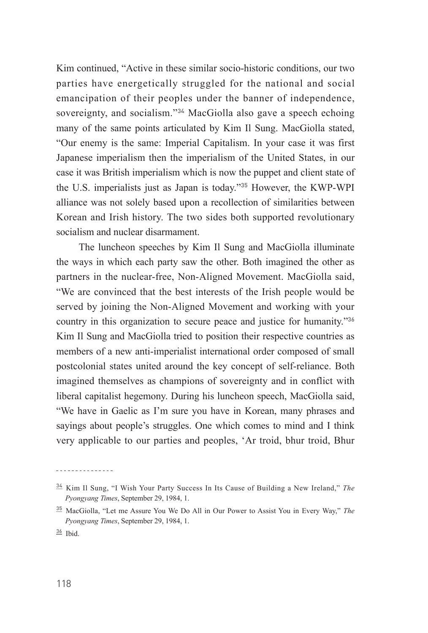Kim continued, "Active in these similar socio-historic conditions, our two parties have energetically struggled for the national and social emancipation of their peoples under the banner of independence, sovereignty, and socialism."**<sup>34</sup>** MacGiolla also gave a speech echoing many of the same points articulated by Kim Il Sung. MacGiolla stated, "Our enemy is the same: Imperial Capitalism. In your case it was first Japanese imperialism then the imperialism of the United States, in our case it was British imperialism which is now the puppet and client state of the U.S. imperialists just as Japan is today."**<sup>35</sup>** However, the KWP-WPI alliance was not solely based upon a recollection of similarities between Korean and Irish history. The two sides both supported revolutionary socialism and nuclear disarmament.

The luncheon speeches by Kim Il Sung and MacGiolla illuminate the ways in which each party saw the other. Both imagined the other as partners in the nuclear-free, Non-Aligned Movement. MacGiolla said, "We are convinced that the best interests of the Irish people would be served by joining the Non-Aligned Movement and working with your country in this organization to secure peace and justice for humanity."**<sup>36</sup>** Kim Il Sung and MacGiolla tried to position their respective countries as members of a new anti-imperialist international order composed of small postcolonial states united around the key concept of self-reliance. Both imagined themselves as champions of sovereignty and in conflict with liberal capitalist hegemony. During his luncheon speech, MacGiolla said, "We have in Gaelic as I'm sure you have in Korean, many phrases and sayings about people's struggles. One which comes to mind and I think very applicable to our parties and peoples, 'Ar troid, bhur troid, Bhur

<u>. . . . . . . . . . . . . . .</u>

**<sup>34</sup>** Kim Il Sung, "I Wish Your Party Success In Its Cause of Building a New Ireland," *The Pyongyang Times*, September 29, 1984, 1.

**<sup>35</sup>** MacGiolla, "Let me Assure You We Do All in Our Power to Assist You in Every Way," *The Pyongyang Times*, September 29, 1984, 1.

**<sup>36</sup>** Ibid.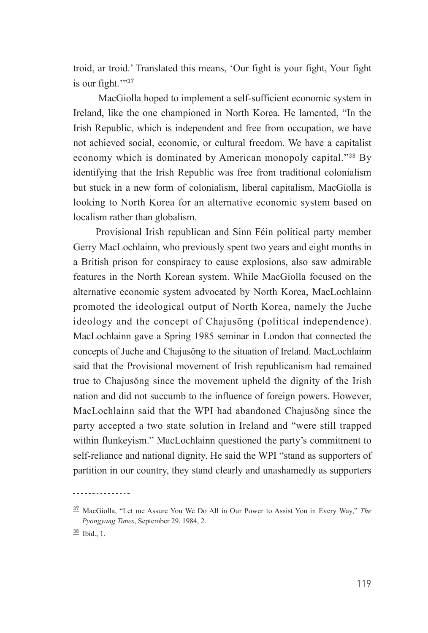troid, ar troid.' Translated this means, 'Our fight is your fight, Your fight is our fight.'"**<sup>37</sup>**

 MacGiolla hoped to implement a self-sufficient economic system in Ireland, like the one championed in North Korea. He lamented, "In the Irish Republic, which is independent and free from occupation, we have not achieved social, economic, or cultural freedom. We have a capitalist economy which is dominated by American monopoly capital."**<sup>38</sup>** By identifying that the Irish Republic was free from traditional colonialism but stuck in a new form of colonialism, liberal capitalism, MacGiolla is looking to North Korea for an alternative economic system based on localism rather than globalism.

Provisional Irish republican and Sinn Féin political party member Gerry MacLochlainn, who previously spent two years and eight months in a British prison for conspiracy to cause explosions, also saw admirable features in the North Korean system. While MacGiolla focused on the alternative economic system advocated by North Korea, MacLochlainn promoted the ideological output of North Korea, namely the Juche ideology and the concept of Chajusŏng (political independence). MacLochlainn gave a Spring 1985 seminar in London that connected the concepts of Juche and Chajusŏng to the situation of Ireland. MacLochlainn said that the Provisional movement of Irish republicanism had remained true to Chajusŏng since the movement upheld the dignity of the Irish nation and did not succumb to the influence of foreign powers. However, MacLochlainn said that the WPI had abandoned Chajusŏng since the party accepted a two state solution in Ireland and "were still trapped within flunkeyism." MacLochlainn questioned the party's commitment to self-reliance and national dignity. He said the WPI "stand as supporters of partition in our country, they stand clearly and unashamedly as supporters

**<sup>37</sup>** MacGiolla, "Let me Assure You We Do All in Our Power to Assist You in Every Way," *The Pyongyang Times*, September 29, 1984, 2.

**<sup>38</sup>** Ibid., 1.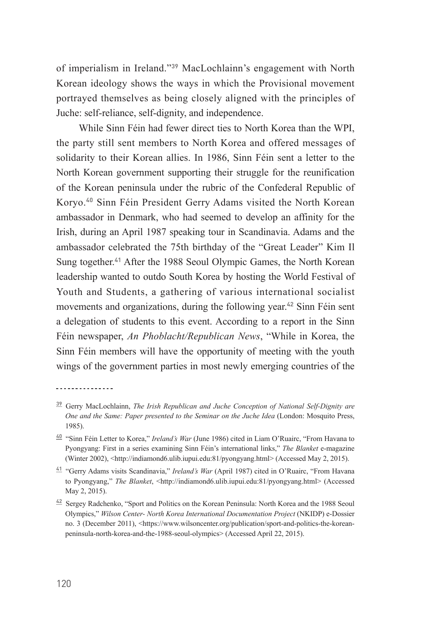of imperialism in Ireland."**<sup>39</sup>** MacLochlainn's engagement with North Korean ideology shows the ways in which the Provisional movement portrayed themselves as being closely aligned with the principles of Juche: self-reliance, self-dignity, and independence.

While Sinn Féin had fewer direct ties to North Korea than the WPI, the party still sent members to North Korea and offered messages of solidarity to their Korean allies. In 1986, Sinn Féin sent a letter to the North Korean government supporting their struggle for the reunification of the Korean peninsula under the rubric of the Confederal Republic of Koryo.**<sup>40</sup>** Sinn Féin President Gerry Adams visited the North Korean ambassador in Denmark, who had seemed to develop an affinity for the Irish, during an April 1987 speaking tour in Scandinavia. Adams and the ambassador celebrated the 75th birthday of the "Great Leader" Kim Il Sung together.**<sup>41</sup>** After the 1988 Seoul Olympic Games, the North Korean leadership wanted to outdo South Korea by hosting the World Festival of Youth and Students, a gathering of various international socialist movements and organizations, during the following year.**<sup>42</sup>** Sinn Féin sent a delegation of students to this event. According to a report in the Sinn Féin newspaper, *An Phoblacht/Republican News*, "While in Korea, the Sinn Féin members will have the opportunity of meeting with the youth wings of the government parties in most newly emerging countries of the

---------------

**<sup>39</sup>** Gerry MacLochlainn, *The Irish Republican and Juche Conception of National Self-Dignity are One and the Same: Paper presented to the Seminar on the Juche Idea* (London: Mosquito Press, 1985).

**<sup>40</sup>** "Sinn Féin Letter to Korea," *Ireland's War* (June 1986) cited in Liam O'Ruairc, "From Havana to Pyongyang: First in a series examining Sinn Féin's international links," *The Blanket* e-magazine (Winter 2002), <http://indiamond6.ulib.iupui.edu:81/pyongyang.html> (Accessed May 2, 2015).

**<sup>41</sup>** "Gerry Adams visits Scandinavia," *Ireland's War* (April 1987) cited in O'Ruairc, "From Havana to Pyongyang," *The Blanket*, <http://indiamond6.ulib.iupui.edu:81/pyongyang.html> (Accessed May 2, 2015).

**<sup>42</sup>** Sergey Radchenko, "Sport and Politics on the Korean Peninsula: North Korea and the 1988 Seoul Olympics," *Wilson Center- North Korea International Documentation Project* (NKIDP) e-Dossier no. 3 (December 2011), <https://www.wilsoncenter.org/publication/sport-and-politics-the-koreanpeninsula-north-korea-and-the-1988-seoul-olympics> (Accessed April 22, 2015).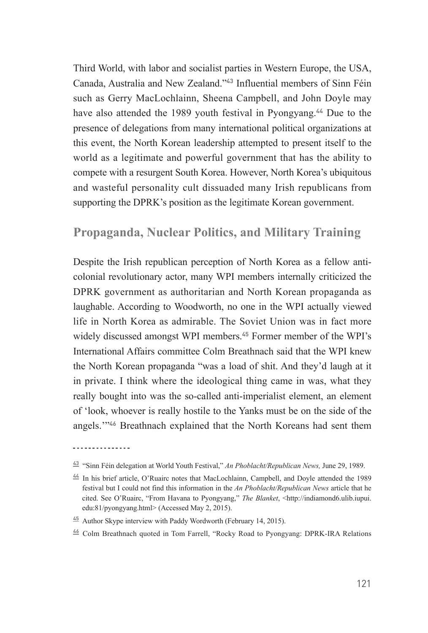Third World, with labor and socialist parties in Western Europe, the USA, Canada, Australia and New Zealand."**<sup>43</sup>** Influential members of Sinn Féin such as Gerry MacLochlainn, Sheena Campbell, and John Doyle may have also attended the 1989 youth festival in Pyongyang.**<sup>44</sup>** Due to the presence of delegations from many international political organizations at this event, the North Korean leadership attempted to present itself to the world as a legitimate and powerful government that has the ability to compete with a resurgent South Korea. However, North Korea's ubiquitous and wasteful personality cult dissuaded many Irish republicans from supporting the DPRK's position as the legitimate Korean government.

#### **Propaganda, Nuclear Politics, and Military Training**

Despite the Irish republican perception of North Korea as a fellow anticolonial revolutionary actor, many WPI members internally criticized the DPRK government as authoritarian and North Korean propaganda as laughable. According to Woodworth, no one in the WPI actually viewed life in North Korea as admirable. The Soviet Union was in fact more widely discussed amongst WPI members.**<sup>45</sup>** Former member of the WPI's International Affairs committee Colm Breathnach said that the WPI knew the North Korean propaganda "was a load of shit. And they'd laugh at it in private. I think where the ideological thing came in was, what they really bought into was the so-called anti-imperialist element, an element of 'look, whoever is really hostile to the Yanks must be on the side of the angels.'"**<sup>46</sup>** Breathnach explained that the North Koreans had sent them

**<sup>43</sup>** "Sinn Féin delegation at World Youth Festival," *An Phoblacht/Republican News,* June 29, 1989.

**<sup>44</sup>** In his brief article, O'Ruairc notes that MacLochlainn, Campbell, and Doyle attended the 1989 festival but I could not find this information in the *An Phoblacht/Republican News* article that he cited. See O'Ruairc, "From Havana to Pyongyang," *The Blanket*, <http://indiamond6.ulib.iupui. edu:81/pyongyang.html> (Accessed May 2, 2015).

**<sup>45</sup>** Author Skype interview with Paddy Wordworth (February 14, 2015).

**<sup>46</sup>** Colm Breathnach quoted in Tom Farrell, "Rocky Road to Pyongyang: DPRK-IRA Relations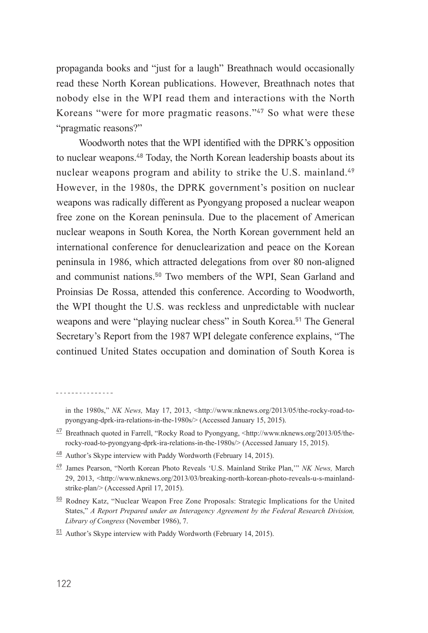propaganda books and "just for a laugh" Breathnach would occasionally read these North Korean publications. However, Breathnach notes that nobody else in the WPI read them and interactions with the North Koreans "were for more pragmatic reasons."**<sup>47</sup>** So what were these "pragmatic reasons?"

Woodworth notes that the WPI identified with the DPRK's opposition to nuclear weapons.**<sup>48</sup>** Today, the North Korean leadership boasts about its nuclear weapons program and ability to strike the U.S. mainland.**<sup>49</sup>** However, in the 1980s, the DPRK government's position on nuclear weapons was radically different as Pyongyang proposed a nuclear weapon free zone on the Korean peninsula. Due to the placement of American nuclear weapons in South Korea, the North Korean government held an international conference for denuclearization and peace on the Korean peninsula in 1986, which attracted delegations from over 80 non-aligned and communist nations.**<sup>50</sup>** Two members of the WPI, Sean Garland and Proinsias De Rossa, attended this conference. According to Woodworth, the WPI thought the U.S. was reckless and unpredictable with nuclear weapons and were "playing nuclear chess" in South Korea.**<sup>51</sup>** The General Secretary's Report from the 1987 WPI delegate conference explains, "The continued United States occupation and domination of South Korea is

<u>. . . . . . . . . . . . . . .</u>

in the 1980s," *NK News,* May 17, 2013, <http://www.nknews.org/2013/05/the-rocky-road-topyongyang-dprk-ira-relations-in-the-1980s/> (Accessed January 15, 2015).

**<sup>47</sup>** Breathnach quoted in Farrell, "Rocky Road to Pyongyang, <http://www.nknews.org/2013/05/therocky-road-to-pyongyang-dprk-ira-relations-in-the-1980s/> (Accessed January 15, 2015).

**<sup>48</sup>** Author's Skype interview with Paddy Wordworth (February 14, 2015).

**<sup>49</sup>** James Pearson, "North Korean Photo Reveals 'U.S. Mainland Strike Plan,'" *NK News,* March 29, 2013, <http://www.nknews.org/2013/03/breaking-north-korean-photo-reveals-u-s-mainlandstrike-plan/> (Accessed April 17, 2015).

**<sup>50</sup>** Rodney Katz, "Nuclear Weapon Free Zone Proposals: Strategic Implications for the United States," *A Report Prepared under an Interagency Agreement by the Federal Research Division, Library of Congress* (November 1986), 7.

**<sup>51</sup>** Author's Skype interview with Paddy Wordworth (February 14, 2015).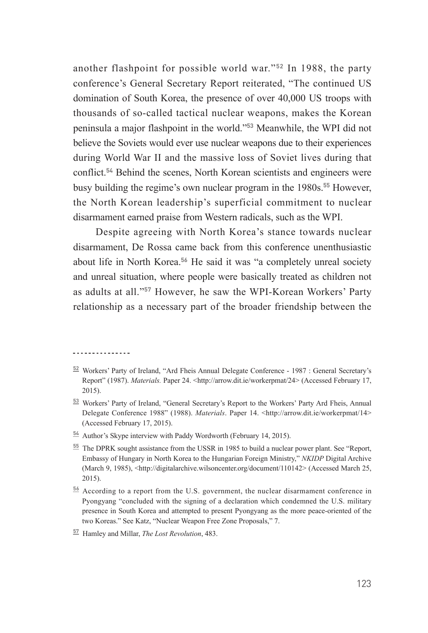another flashpoint for possible world war."**<sup>52</sup>** In 1988, the party conference's General Secretary Report reiterated, "The continued US domination of South Korea, the presence of over 40,000 US troops with thousands of so-called tactical nuclear weapons, makes the Korean peninsula a major flashpoint in the world."**<sup>53</sup>** Meanwhile, the WPI did not believe the Soviets would ever use nuclear weapons due to their experiences during World War II and the massive loss of Soviet lives during that conflict.**<sup>54</sup>** Behind the scenes, North Korean scientists and engineers were busy building the regime's own nuclear program in the 1980s.**<sup>55</sup>** However, the North Korean leadership's superficial commitment to nuclear disarmament earned praise from Western radicals, such as the WPI.

Despite agreeing with North Korea's stance towards nuclear disarmament, De Rossa came back from this conference unenthusiastic about life in North Korea.**<sup>56</sup>** He said it was "a completely unreal society and unreal situation, where people were basically treated as children not as adults at all."**<sup>57</sup>** However, he saw the WPI-Korean Workers' Party relationship as a necessary part of the broader friendship between the

- **<sup>54</sup>** Author's Skype interview with Paddy Wordworth (February 14, 2015).
- **<sup>55</sup>** The DPRK sought assistance from the USSR in 1985 to build a nuclear power plant. See "Report, Embassy of Hungary in North Korea to the Hungarian Foreign Ministry," *NKIDP* Digital Archive (March 9, 1985), <http://digitalarchive.wilsoncenter.org/document/110142> (Accessed March 25, 2015).
- **<sup>56</sup>** According to a report from the U.S. government, the nuclear disarmament conference in Pyongyang "concluded with the signing of a declaration which condemned the U.S. military presence in South Korea and attempted to present Pyongyang as the more peace-oriented of the two Koreas." See Katz, "Nuclear Weapon Free Zone Proposals," 7.

**<sup>52</sup>** Workers' Party of Ireland, "Ard Fheis Annual Delegate Conference - 1987 : General Secretary's Report" (1987). *Materials.* Paper 24. <http://arrow.dit.ie/workerpmat/24> (Accessed February 17, 2015).

**<sup>53</sup>** Workers' Party of Ireland, "General Secretary's Report to the Workers' Party Ard Fheis, Annual Delegate Conference 1988" (1988). *Materials*. Paper 14. <http://arrow.dit.ie/workerpmat/14> (Accessed February 17, 2015).

**<sup>57</sup>** Hamley and Millar, *The Lost Revolution*, 483.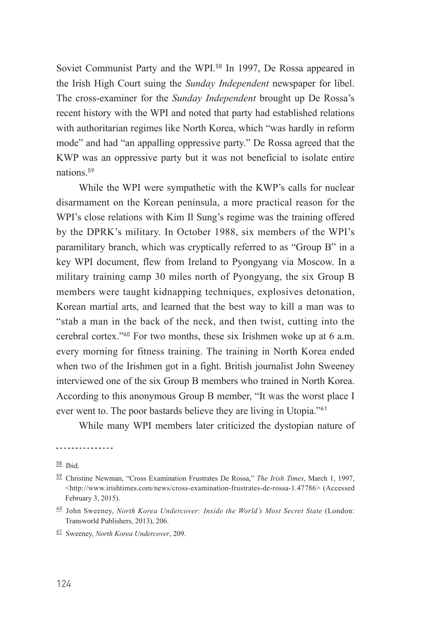Soviet Communist Party and the WPI.**<sup>58</sup>** In 1997, De Rossa appeared in the Irish High Court suing the *Sunday Independent* newspaper for libel. The cross-examiner for the *Sunday Independent* brought up De Rossa's recent history with the WPI and noted that party had established relations with authoritarian regimes like North Korea, which "was hardly in reform mode" and had "an appalling oppressive party." De Rossa agreed that the KWP was an oppressive party but it was not beneficial to isolate entire nations.**<sup>59</sup>**

While the WPI were sympathetic with the KWP's calls for nuclear disarmament on the Korean peninsula, a more practical reason for the WPI's close relations with Kim Il Sung's regime was the training offered by the DPRK's military. In October 1988, six members of the WPI's paramilitary branch, which was cryptically referred to as "Group B" in a key WPI document, flew from Ireland to Pyongyang via Moscow. In a military training camp 30 miles north of Pyongyang, the six Group B members were taught kidnapping techniques, explosives detonation, Korean martial arts, and learned that the best way to kill a man was to "stab a man in the back of the neck, and then twist, cutting into the cerebral cortex."**<sup>60</sup>** For two months, these six Irishmen woke up at 6 a.m. every morning for fitness training. The training in North Korea ended when two of the Irishmen got in a fight. British journalist John Sweeney interviewed one of the six Group B members who trained in North Korea. According to this anonymous Group B member, "It was the worst place I ever went to. The poor bastards believe they are living in Utopia."**<sup>61</sup>**

While many WPI members later criticized the dystopian nature of

**<sup>58</sup>** Ibid.

**<sup>59</sup>** Christine Newman, "Cross Examination Frustrates De Rossa," *The Irish Times*, March 1, 1997, <http://www.irishtimes.com/news/cross-examination-frustrates-de-rossa-1.47786> (Accessed February 3, 2015).

**<sup>60</sup>** John Sweeney, *North Korea Undercover: Inside the World's Most Secret State* (London: Transworld Publishers, 2013), 206.

**<sup>61</sup>** Sweeney, *North Korea Undercover*, 209.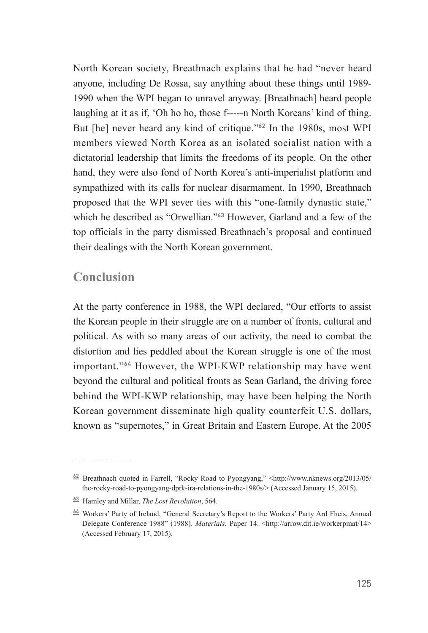North Korean society, Breathnach explains that he had "never heard anyone, including De Rossa, say anything about these things until 1989- 1990 when the WPI began to unravel anyway. [Breathnach] heard people laughing at it as if, 'Oh ho ho, those f-----n North Koreans' kind of thing. But [he] never heard any kind of critique."**<sup>62</sup>** In the 1980s, most WPI members viewed North Korea as an isolated socialist nation with a dictatorial leadership that limits the freedoms of its people. On the other hand, they were also fond of North Korea's anti-imperialist platform and sympathized with its calls for nuclear disarmament. In 1990, Breathnach proposed that the WPI sever ties with this "one-family dynastic state," which he described as "Orwellian."**<sup>63</sup>** However, Garland and a few of the top officials in the party dismissed Breathnach's proposal and continued their dealings with the North Korean government.

#### **Conclusion**

At the party conference in 1988, the WPI declared, "Our efforts to assist the Korean people in their struggle are on a number of fronts, cultural and political. As with so many areas of our activity, the need to combat the distortion and lies peddled about the Korean struggle is one of the most important."**<sup>64</sup>** However, the WPI-KWP relationship may have went beyond the cultural and political fronts as Sean Garland, the driving force behind the WPI-KWP relationship, may have been helping the North Korean government disseminate high quality counterfeit U.S. dollars, known as "supernotes," in Great Britain and Eastern Europe. At the 2005

 $\frac{62}{2}$  Breathnach quoted in Farrell, "Rocky Road to Pyongyang," <http://www.nknews.org/2013/05/ the-rocky-road-to-pyongyang-dprk-ira-relations-in-the-1980s/> (Accessed January 15, 2015).

**<sup>63</sup>** Hamley and Millar, *The Lost Revolution*, 564.

**<sup>64</sup>** Workers' Party of Ireland, "General Secretary's Report to the Workers' Party Ard Fheis, Annual Delegate Conference 1988" (1988). *Materials*. Paper 14. <http://arrow.dit.ie/workerpmat/14> (Accessed February 17, 2015).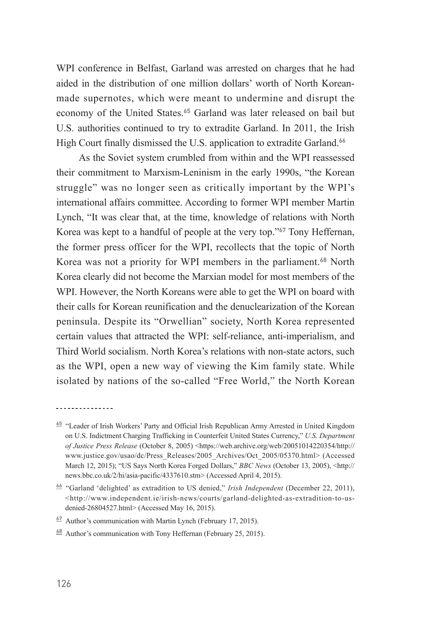WPI conference in Belfast, Garland was arrested on charges that he had aided in the distribution of one million dollars' worth of North Koreanmade supernotes, which were meant to undermine and disrupt the economy of the United States.**<sup>65</sup>** Garland was later released on bail but U.S. authorities continued to try to extradite Garland. In 2011, the Irish High Court finally dismissed the U.S. application to extradite Garland.**<sup>66</sup>**

As the Soviet system crumbled from within and the WPI reassessed their commitment to Marxism-Leninism in the early 1990s, "the Korean struggle" was no longer seen as critically important by the WPI's international affairs committee. According to former WPI member Martin Lynch, "It was clear that, at the time, knowledge of relations with North Korea was kept to a handful of people at the very top."**<sup>67</sup>** Tony Heffernan, the former press officer for the WPI, recollects that the topic of North Korea was not a priority for WPI members in the parliament.**<sup>68</sup>** North Korea clearly did not become the Marxian model for most members of the WPI. However, the North Koreans were able to get the WPI on board with their calls for Korean reunification and the denuclearization of the Korean peninsula. Despite its "Orwellian" society, North Korea represented certain values that attracted the WPI: self-reliance, anti-imperialism, and Third World socialism. North Korea's relations with non-state actors, such as the WPI, open a new way of viewing the Kim family state. While isolated by nations of the so-called "Free World," the North Korean

<u> - - - - - - - - - - - - - -</u>

**<sup>65</sup>** "Leader of Irish Workers' Party and Official Irish Republican Army Arrested in United Kingdom on U.S. Indictment Charging Trafficking in Counterfeit United States Currency," *U.S. Department of Justice Press Release* (October 8, 2005) <https://web.archive.org/web/20051014220354/http:// www.justice.gov/usao/dc/Press\_Releases/2005\_Archives/Oct\_2005/05370.html> (Accessed March 12, 2015); "US Says North Korea Forged Dollars," *BBC News* (October 13, 2005), <http:// news.bbc.co.uk/2/hi/asia-pacific/4337610.stm> (Accessed April 4, 2015).

**<sup>66</sup>** "Garland 'delighted' as extradition to US denied," *Irish Independent* (December 22, 2011), <http://www.independent.ie/irish-news/courts/garland-delighted-as-extradition-to-usdenied-26804527.html> (Accessed May 16, 2015).

**<sup>67</sup>** Author's communication with Martin Lynch (February 17, 2015).

**<sup>68</sup>** Author's communication with Tony Heffernan (February 25, 2015).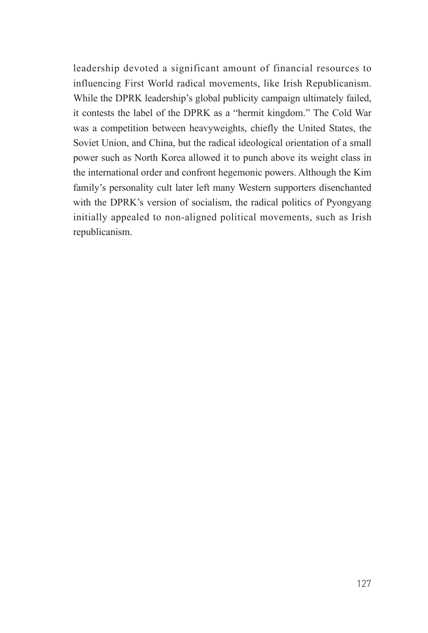leadership devoted a significant amount of financial resources to influencing First World radical movements, like Irish Republicanism. While the DPRK leadership's global publicity campaign ultimately failed, it contests the label of the DPRK as a "hermit kingdom." The Cold War was a competition between heavyweights, chiefly the United States, the Soviet Union, and China, but the radical ideological orientation of a small power such as North Korea allowed it to punch above its weight class in the international order and confront hegemonic powers. Although the Kim family's personality cult later left many Western supporters disenchanted with the DPRK's version of socialism, the radical politics of Pyongyang initially appealed to non-aligned political movements, such as Irish republicanism.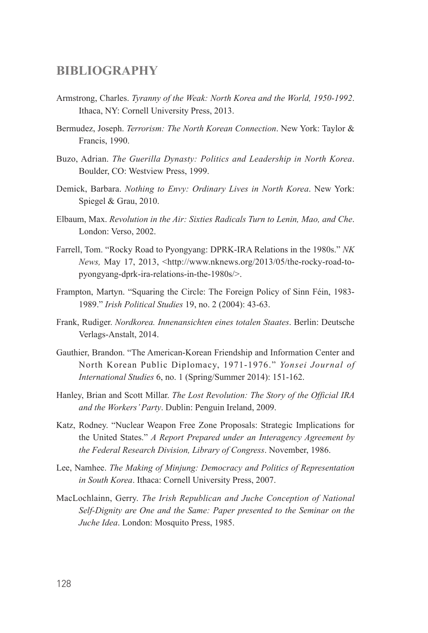#### **BIBLIOGRAPHY**

- Armstrong, Charles. *Tyranny of the Weak: North Korea and the World, 1950-1992*. Ithaca, NY: Cornell University Press, 2013.
- Bermudez, Joseph. *Terrorism: The North Korean Connection*. New York: Taylor & Francis, 1990.
- Buzo, Adrian. *The Guerilla Dynasty: Politics and Leadership in North Korea*. Boulder, CO: Westview Press, 1999.
- Demick, Barbara. *Nothing to Envy: Ordinary Lives in North Korea*. New York: Spiegel & Grau, 2010.
- Elbaum, Max. *Revolution in the Air: Sixties Radicals Turn to Lenin, Mao, and Che*. London: Verso, 2002.
- Farrell, Tom. "Rocky Road to Pyongyang: DPRK-IRA Relations in the 1980s." *NK News,* May 17, 2013, <http://www.nknews.org/2013/05/the-rocky-road-topyongyang-dprk-ira-relations-in-the-1980s/>.
- Frampton, Martyn. "Squaring the Circle: The Foreign Policy of Sinn Féin, 1983- 1989." *Irish Political Studies* 19, no. 2 (2004): 43-63.
- Frank, Rudiger. *Nordkorea. Innenansichten eines totalen Staates*. Berlin: Deutsche Verlags-Anstalt, 2014.
- Gauthier, Brandon. "The American-Korean Friendship and Information Center and North Korean Public Diplomacy, 1971-1976." *Yonsei Journal of International Studies* 6, no. 1 (Spring/Summer 2014): 151-162.
- Hanley, Brian and Scott Millar. *The Lost Revolution: The Story of the Official IRA and the Workers' Party*. Dublin: Penguin Ireland, 2009.
- Katz, Rodney. "Nuclear Weapon Free Zone Proposals: Strategic Implications for the United States." *A Report Prepared under an Interagency Agreement by the Federal Research Division, Library of Congress*. November, 1986.
- Lee, Namhee. *The Making of Minjung: Democracy and Politics of Representation in South Korea*. Ithaca: Cornell University Press, 2007.
- MacLochlainn, Gerry. *The Irish Republican and Juche Conception of National Self-Dignity are One and the Same: Paper presented to the Seminar on the Juche Idea*. London: Mosquito Press, 1985.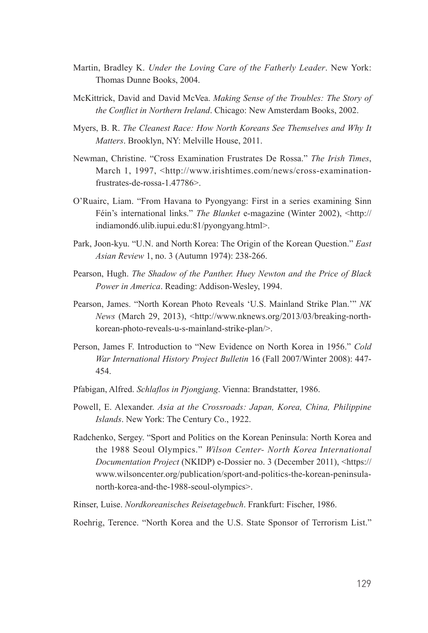- Martin, Bradley K. *Under the Loving Care of the Fatherly Leader*. New York: Thomas Dunne Books, 2004.
- McKittrick, David and David McVea. *Making Sense of the Troubles: The Story of the Conflict in Northern Ireland*. Chicago: New Amsterdam Books, 2002.
- Myers, B. R. *The Cleanest Race: How North Koreans See Themselves and Why It Matters*. Brooklyn, NY: Melville House, 2011.
- Newman, Christine. "Cross Examination Frustrates De Rossa." *The Irish Times*, March 1, 1997, <http://www.irishtimes.com/news/cross-examinationfrustrates-de-rossa-1.47786>.
- O'Ruairc, Liam. "From Havana to Pyongyang: First in a series examining Sinn Féin's international links." *The Blanket* e-magazine (Winter 2002), <http:// indiamond6.ulib.iupui.edu:81/pyongyang.html>.
- Park, Joon-kyu. "U.N. and North Korea: The Origin of the Korean Question." *East Asian Review* 1, no. 3 (Autumn 1974): 238-266.
- Pearson, Hugh. *The Shadow of the Panther. Huey Newton and the Price of Black Power in America*. Reading: Addison-Wesley, 1994.
- Pearson, James. "North Korean Photo Reveals 'U.S. Mainland Strike Plan.'" *NK News* (March 29, 2013), <http://www.nknews.org/2013/03/breaking-northkorean-photo-reveals-u-s-mainland-strike-plan/>.
- Person, James F. Introduction to "New Evidence on North Korea in 1956." *Cold War International History Project Bulletin* 16 (Fall 2007/Winter 2008): 447- 454.
- Pfabigan, Alfred. *Schlaflos in Pjongjang*. Vienna: Brandstatter, 1986.
- Powell, E. Alexander. *Asia at the Crossroads: Japan, Korea, China, Philippine Islands*. New York: The Century Co., 1922.
- Radchenko, Sergey. "Sport and Politics on the Korean Peninsula: North Korea and the 1988 Seoul Olympics." *Wilson Center- North Korea International Documentation Project* (NKIDP) e-Dossier no. 3 (December 2011), <https:// www.wilsoncenter.org/publication/sport-and-politics-the-korean-peninsulanorth-korea-and-the-1988-seoul-olympics>.
- Rinser, Luise. *Nordkoreanisches Reisetagebuch*. Frankfurt: Fischer, 1986.
- Roehrig, Terence. "North Korea and the U.S. State Sponsor of Terrorism List."